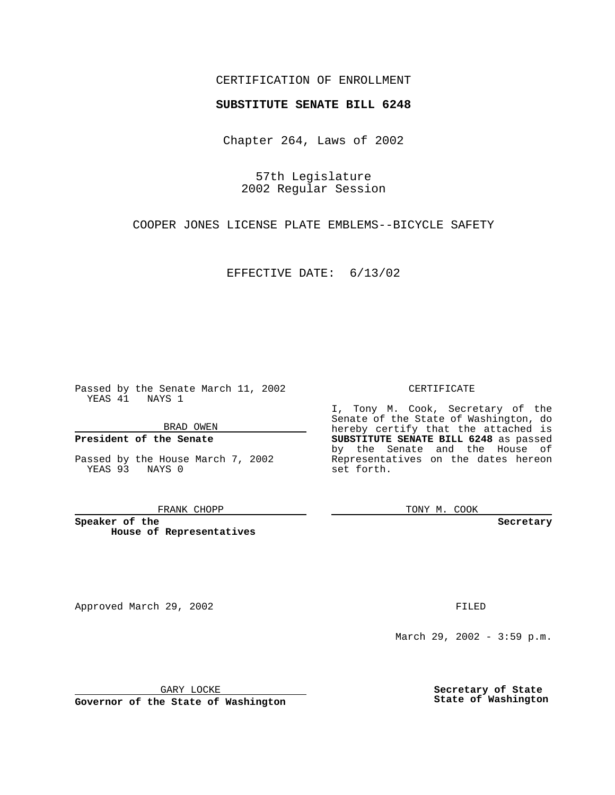## CERTIFICATION OF ENROLLMENT

# **SUBSTITUTE SENATE BILL 6248**

Chapter 264, Laws of 2002

57th Legislature 2002 Regular Session

COOPER JONES LICENSE PLATE EMBLEMS--BICYCLE SAFETY

EFFECTIVE DATE: 6/13/02

Passed by the Senate March 11, 2002 YEAS 41 NAYS 1

BRAD OWEN

## **President of the Senate**

Passed by the House March 7, 2002 YEAS 93 NAYS 0

#### FRANK CHOPP

**Speaker of the House of Representatives**

Approved March 29, 2002 **FILED** 

### CERTIFICATE

I, Tony M. Cook, Secretary of the Senate of the State of Washington, do hereby certify that the attached is **SUBSTITUTE SENATE BILL 6248** as passed by the Senate and the House of Representatives on the dates hereon set forth.

TONY M. COOK

**Secretary**

March 29, 2002 - 3:59 p.m.

GARY LOCKE

**Governor of the State of Washington**

**Secretary of State State of Washington**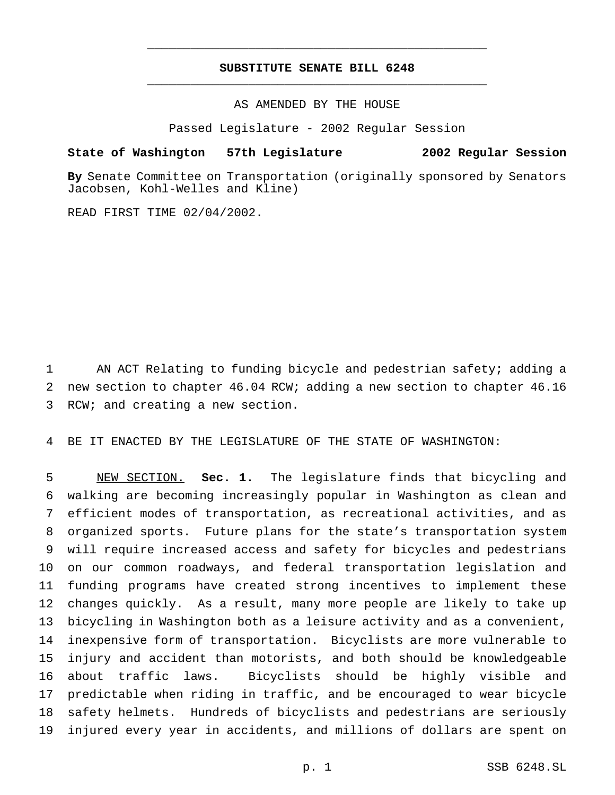# **SUBSTITUTE SENATE BILL 6248** \_\_\_\_\_\_\_\_\_\_\_\_\_\_\_\_\_\_\_\_\_\_\_\_\_\_\_\_\_\_\_\_\_\_\_\_\_\_\_\_\_\_\_\_\_\_\_

\_\_\_\_\_\_\_\_\_\_\_\_\_\_\_\_\_\_\_\_\_\_\_\_\_\_\_\_\_\_\_\_\_\_\_\_\_\_\_\_\_\_\_\_\_\_\_

AS AMENDED BY THE HOUSE

Passed Legislature - 2002 Regular Session

### **State of Washington 57th Legislature 2002 Regular Session**

**By** Senate Committee on Transportation (originally sponsored by Senators Jacobsen, Kohl-Welles and Kline)

READ FIRST TIME 02/04/2002.

 AN ACT Relating to funding bicycle and pedestrian safety; adding a new section to chapter 46.04 RCW; adding a new section to chapter 46.16 RCW; and creating a new section.

BE IT ENACTED BY THE LEGISLATURE OF THE STATE OF WASHINGTON:

 NEW SECTION. **Sec. 1.** The legislature finds that bicycling and walking are becoming increasingly popular in Washington as clean and efficient modes of transportation, as recreational activities, and as organized sports. Future plans for the state's transportation system will require increased access and safety for bicycles and pedestrians on our common roadways, and federal transportation legislation and funding programs have created strong incentives to implement these changes quickly. As a result, many more people are likely to take up bicycling in Washington both as a leisure activity and as a convenient, inexpensive form of transportation. Bicyclists are more vulnerable to injury and accident than motorists, and both should be knowledgeable about traffic laws. Bicyclists should be highly visible and predictable when riding in traffic, and be encouraged to wear bicycle safety helmets. Hundreds of bicyclists and pedestrians are seriously injured every year in accidents, and millions of dollars are spent on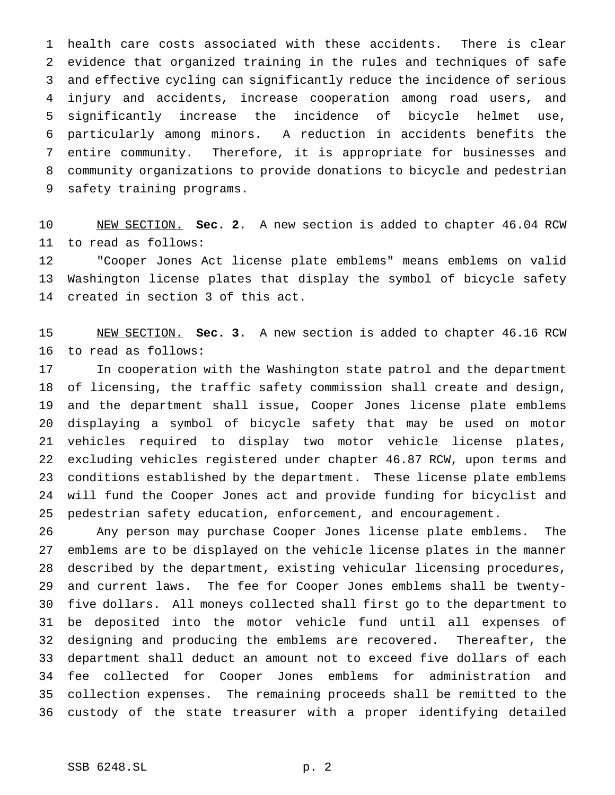health care costs associated with these accidents. There is clear evidence that organized training in the rules and techniques of safe and effective cycling can significantly reduce the incidence of serious injury and accidents, increase cooperation among road users, and significantly increase the incidence of bicycle helmet use, particularly among minors. A reduction in accidents benefits the entire community. Therefore, it is appropriate for businesses and community organizations to provide donations to bicycle and pedestrian safety training programs.

 NEW SECTION. **Sec. 2.** A new section is added to chapter 46.04 RCW to read as follows:

 "Cooper Jones Act license plate emblems" means emblems on valid Washington license plates that display the symbol of bicycle safety created in section 3 of this act.

 NEW SECTION. **Sec. 3.** A new section is added to chapter 46.16 RCW to read as follows:

 In cooperation with the Washington state patrol and the department of licensing, the traffic safety commission shall create and design, and the department shall issue, Cooper Jones license plate emblems displaying a symbol of bicycle safety that may be used on motor vehicles required to display two motor vehicle license plates, excluding vehicles registered under chapter 46.87 RCW, upon terms and conditions established by the department. These license plate emblems will fund the Cooper Jones act and provide funding for bicyclist and pedestrian safety education, enforcement, and encouragement.

 Any person may purchase Cooper Jones license plate emblems. The emblems are to be displayed on the vehicle license plates in the manner described by the department, existing vehicular licensing procedures, and current laws. The fee for Cooper Jones emblems shall be twenty- five dollars. All moneys collected shall first go to the department to be deposited into the motor vehicle fund until all expenses of designing and producing the emblems are recovered. Thereafter, the department shall deduct an amount not to exceed five dollars of each fee collected for Cooper Jones emblems for administration and collection expenses. The remaining proceeds shall be remitted to the custody of the state treasurer with a proper identifying detailed